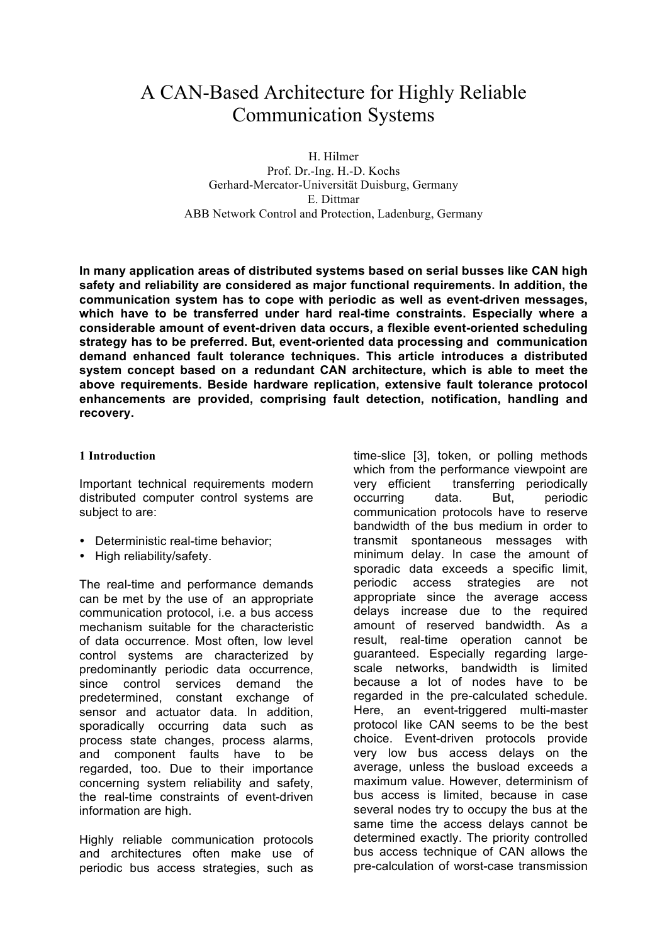# A CAN-Based Architecture for Highly Reliable Communication Systems

H. Hilmer Prof. Dr.-Ing. H.-D. Kochs Gerhard-Mercator-Universität Duisburg, Germany E. Dittmar ABB Network Control and Protection, Ladenburg, Germany

**In many application areas of distributed systems based on serial busses like CAN high safety and reliability are considered as major functional requirements. In addition, the communication system has to cope with periodic as well as event-driven messages, which have to be transferred under hard real-time constraints. Especially where a considerable amount of event-driven data occurs, a flexible event-oriented scheduling strategy has to be preferred. But, event-oriented data processing and communication demand enhanced fault tolerance techniques. This article introduces a distributed system concept based on a redundant CAN architecture, which is able to meet the above requirements. Beside hardware replication, extensive fault tolerance protocol enhancements are provided, comprising fault detection, notification, handling and recovery.**

#### **1 Introduction**

Important technical requirements modern distributed computer control systems are subject to are:

- Deterministic real-time behavior;
- High reliability/safety.

The real-time and performance demands can be met by the use of an appropriate communication protocol, i.e. a bus access mechanism suitable for the characteristic of data occurrence. Most often, low level control systems are characterized by predominantly periodic data occurrence, since control services demand the predetermined, constant exchange of sensor and actuator data. In addition, sporadically occurring data such as process state changes, process alarms, and component faults have to be regarded, too. Due to their importance concerning system reliability and safety, the real-time constraints of event-driven information are high.

Highly reliable communication protocols and architectures often make use of periodic bus access strategies, such as time-slice [3], token, or polling methods which from the performance viewpoint are very efficient transferring periodically occurring data. But, periodic communication protocols have to reserve bandwidth of the bus medium in order to transmit spontaneous messages with minimum delay. In case the amount of sporadic data exceeds a specific limit, periodic access strategies are not appropriate since the average access delays increase due to the required amount of reserved bandwidth. As a result, real-time operation cannot be guaranteed. Especially regarding largescale networks, bandwidth is limited because a lot of nodes have to be regarded in the pre-calculated schedule. Here, an event-triggered multi-master protocol like CAN seems to be the best choice. Event-driven protocols provide very low bus access delays on the average, unless the busload exceeds a maximum value. However, determinism of bus access is limited, because in case several nodes try to occupy the bus at the same time the access delays cannot be determined exactly. The priority controlled bus access technique of CAN allows the pre-calculation of worst-case transmission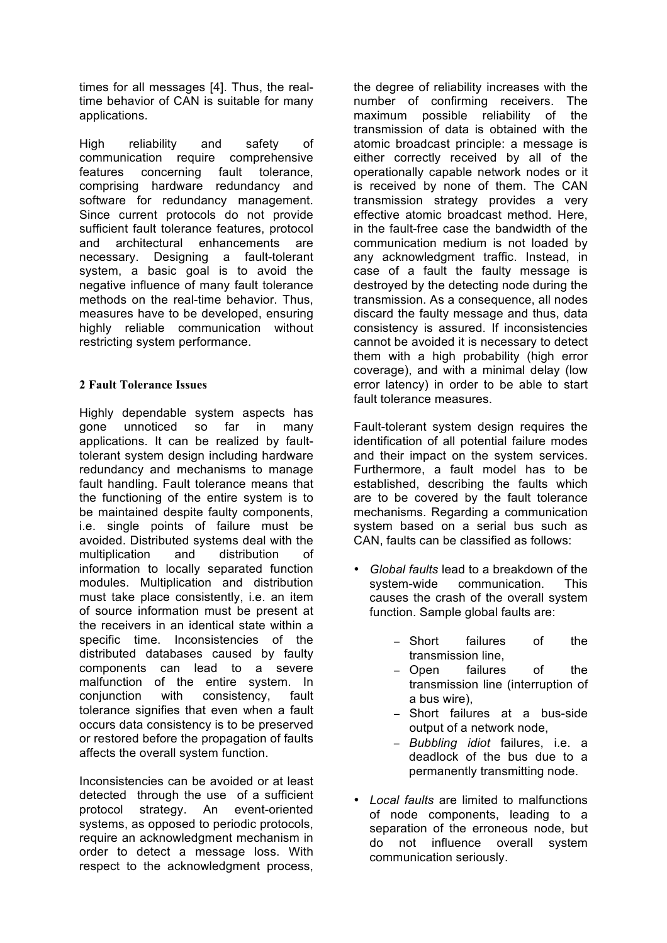times for all messages [4]. Thus, the realtime behavior of CAN is suitable for many applications.

High reliability and safety of communication require comprehensive features concerning fault tolerance, comprising hardware redundancy and software for redundancy management. Since current protocols do not provide sufficient fault tolerance features, protocol and architectural enhancements are necessary. Designing a fault-tolerant system, a basic goal is to avoid the negative influence of many fault tolerance methods on the real-time behavior. Thus, measures have to be developed, ensuring highly reliable communication without restricting system performance.

## **2 Fault Tolerance Issues**

Highly dependable system aspects has gone unnoticed so far in many applications. It can be realized by faulttolerant system design including hardware redundancy and mechanisms to manage fault handling. Fault tolerance means that the functioning of the entire system is to be maintained despite faulty components, i.e. single points of failure must be avoided. Distributed systems deal with the multiplication and distribution of information to locally separated function modules. Multiplication and distribution must take place consistently, i.e. an item of source information must be present at the receivers in an identical state within a specific time. Inconsistencies of the distributed databases caused by faulty components can lead to a severe malfunction of the entire system. In conjunction with consistency, fault tolerance signifies that even when a fault occurs data consistency is to be preserved or restored before the propagation of faults affects the overall system function.

Inconsistencies can be avoided or at least detected through the use of a sufficient protocol strategy. An event-oriented systems, as opposed to periodic protocols, require an acknowledgment mechanism in order to detect a message loss. With respect to the acknowledgment process,

the degree of reliability increases with the number of confirming receivers. The maximum possible reliability of the transmission of data is obtained with the atomic broadcast principle: a message is either correctly received by all of the operationally capable network nodes or it is received by none of them. The CAN transmission strategy provides a very effective atomic broadcast method. Here, in the fault-free case the bandwidth of the communication medium is not loaded by any acknowledgment traffic. Instead, in case of a fault the faulty message is destroyed by the detecting node during the transmission. As a consequence, all nodes discard the faulty message and thus, data consistency is assured. If inconsistencies cannot be avoided it is necessary to detect them with a high probability (high error coverage), and with a minimal delay (low error latency) in order to be able to start fault tolerance measures.

Fault-tolerant system design requires the identification of all potential failure modes and their impact on the system services. Furthermore, a fault model has to be established, describing the faults which are to be covered by the fault tolerance mechanisms. Regarding a communication system based on a serial bus such as CAN, faults can be classified as follows:

- *Global faults* lead to a breakdown of the communication. causes the crash of the overall system function. Sample global faults are:
	- − Short failures of the transmission line,
	- − Open failures of the transmission line (interruption of a bus wire),
	- − Short failures at a bus-side output of a network node,
	- − *Bubbling idiot* failures, i.e. a deadlock of the bus due to a permanently transmitting node.
- *Local faults* are limited to malfunctions of node components, leading to a separation of the erroneous node, but do not influence overall system communication seriously.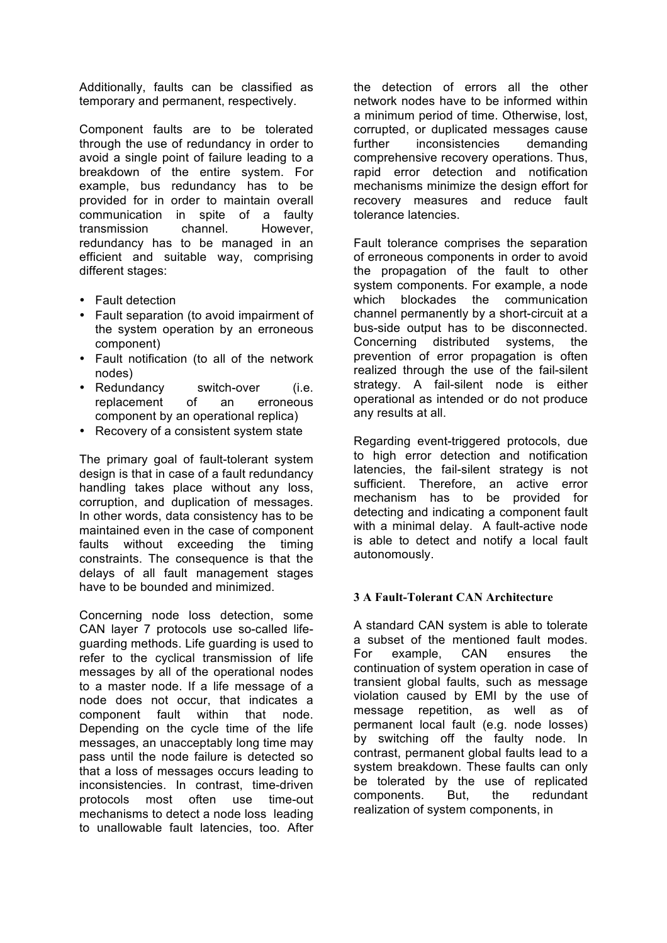Additionally, faults can be classified as temporary and permanent, respectively.

Component faults are to be tolerated through the use of redundancy in order to avoid a single point of failure leading to a breakdown of the entire system. For example, bus redundancy has to be provided for in order to maintain overall communication in spite of a faulty transmission channel. However, redundancy has to be managed in an efficient and suitable way, comprising different stages:

- Fault detection
- Fault separation (to avoid impairment of the system operation by an erroneous component)
- Fault notification (to all of the network nodes)
- Redundancy switch-over (i.e. replacement of an erroneous component by an operational replica)
- Recovery of a consistent system state

The primary goal of fault-tolerant system design is that in case of a fault redundancy handling takes place without any loss, corruption, and duplication of messages. In other words, data consistency has to be maintained even in the case of component faults without exceeding the timing constraints. The consequence is that the delays of all fault management stages have to be bounded and minimized.

Concerning node loss detection, some CAN layer 7 protocols use so-called lifeguarding methods. Life guarding is used to refer to the cyclical transmission of life messages by all of the operational nodes to a master node. If a life message of a node does not occur, that indicates a component fault within that node. Depending on the cycle time of the life messages, an unacceptably long time may pass until the node failure is detected so that a loss of messages occurs leading to inconsistencies. In contrast, time-driven protocols most often use time-out mechanisms to detect a node loss leading to unallowable fault latencies, too. After

the detection of errors all the other network nodes have to be informed within a minimum period of time. Otherwise, lost, corrupted, or duplicated messages cause further inconsistencies demanding comprehensive recovery operations. Thus, rapid error detection and notification mechanisms minimize the design effort for recovery measures and reduce fault tolerance latencies.

Fault tolerance comprises the separation of erroneous components in order to avoid the propagation of the fault to other system components. For example, a node which blockades the communication channel permanently by a short-circuit at a bus-side output has to be disconnected. Concerning distributed systems, the prevention of error propagation is often realized through the use of the fail-silent strategy. A fail-silent node is either operational as intended or do not produce any results at all.

Regarding event-triggered protocols, due to high error detection and notification latencies, the fail-silent strategy is not sufficient. Therefore, an active error mechanism has to be provided for detecting and indicating a component fault with a minimal delay. A fault-active node is able to detect and notify a local fault autonomously.

#### **3 A Fault-Tolerant CAN Architecture**

A standard CAN system is able to tolerate a subset of the mentioned fault modes. For example, CAN ensures the continuation of system operation in case of transient global faults, such as message violation caused by EMI by the use of message repetition, as well as of permanent local fault (e.g. node losses) by switching off the faulty node. In contrast, permanent global faults lead to a system breakdown. These faults can only be tolerated by the use of replicated components. But, the redundant realization of system components, in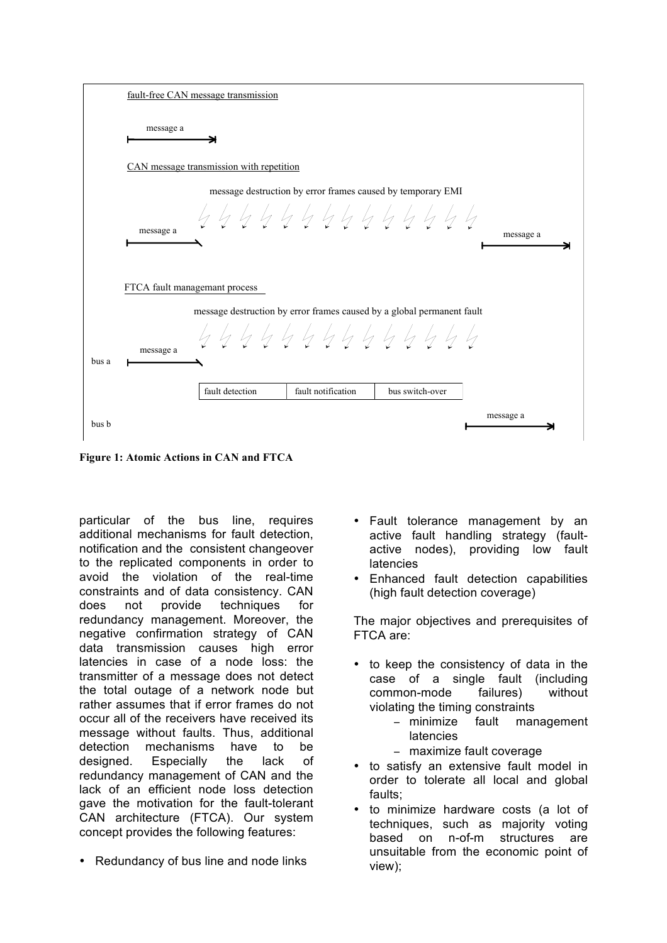|       | fault-free CAN message transmission                                                                  |                 |                                                             |                 |           |  |  |  |  |  |
|-------|------------------------------------------------------------------------------------------------------|-----------------|-------------------------------------------------------------|-----------------|-----------|--|--|--|--|--|
|       | message a                                                                                            |                 |                                                             |                 |           |  |  |  |  |  |
|       | CAN message transmission with repetition                                                             |                 |                                                             |                 |           |  |  |  |  |  |
|       | message a<br>FTCA fault managemant process                                                           |                 | message destruction by error frames caused by temporary EMI | 4444444444444   | message a |  |  |  |  |  |
| bus a | message destruction by error frames caused by a global permanent fault<br>4444444444444<br>message a |                 |                                                             |                 |           |  |  |  |  |  |
|       |                                                                                                      | fault detection | fault notification                                          | bus switch-over |           |  |  |  |  |  |
| bus b |                                                                                                      |                 |                                                             |                 | message a |  |  |  |  |  |

**Figure 1: Atomic Actions in CAN and FTCA** 

particular of the bus line, requires additional mechanisms for fault detection, notification and the consistent changeover to the replicated components in order to avoid the violation of the real-time constraints and of data consistency. CAN does not provide techniques for redundancy management. Moreover, the negative confirmation strategy of CAN data transmission causes high error latencies in case of a node loss: the transmitter of a message does not detect the total outage of a network node but rather assumes that if error frames do not occur all of the receivers have received its message without faults. Thus, additional detection mechanisms have to be designed. Especially the lack of redundancy management of CAN and the lack of an efficient node loss detection gave the motivation for the fault-tolerant CAN architecture (FTCA). Our system concept provides the following features:

• Redundancy of bus line and node links

- Fault tolerance management by an active fault handling strategy (faultactive nodes), providing low fault latencies
- Enhanced fault detection capabilities (high fault detection coverage)

The major objectives and prerequisites of FTCA are:

- to keep the consistency of data in the case of a single fault (including common-mode failures) without violating the timing constraints
	- − minimize fault management latencies
	- − maximize fault coverage
- to satisfy an extensive fault model in order to tolerate all local and global faults;
- to minimize hardware costs (a lot of techniques, such as majority voting based on n-of-m structures are unsuitable from the economic point of view);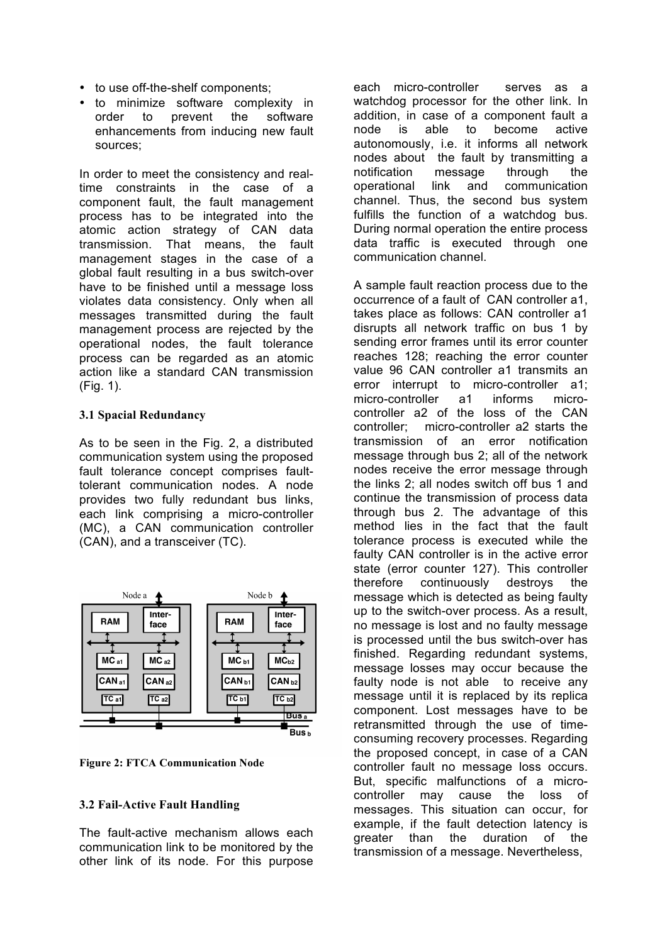- to use off-the-shelf components;
- to minimize software complexity in order to prevent the software enhancements from inducing new fault sources;

In order to meet the consistency and realtime constraints in the case of a component fault, the fault management process has to be integrated into the atomic action strategy of CAN data transmission. That means, the fault management stages in the case of a global fault resulting in a bus switch-over have to be finished until a message loss violates data consistency. Only when all messages transmitted during the fault management process are rejected by the operational nodes, the fault tolerance process can be regarded as an atomic action like a standard CAN transmission (Fig. 1).

#### **3.1 Spacial Redundancy**

As to be seen in the Fig. 2, a distributed communication system using the proposed fault tolerance concept comprises faulttolerant communication nodes. A node provides two fully redundant bus links, each link comprising a micro-controller (MC), a CAN communication controller (CAN), and a transceiver (TC).



**Figure 2: FTCA Communication Node**

## **3.2 Fail-Active Fault Handling**

The fault-active mechanism allows each communication link to be monitored by the other link of its node. For this purpose each micro-controller serves as a watchdog processor for the other link. In addition, in case of a component fault a node is able to become active autonomously, i.e. it informs all network nodes about the fault by transmitting a notification message through the operational link and communication channel. Thus, the second bus system fulfills the function of a watchdog bus. During normal operation the entire process data traffic is executed through one communication channel.

A sample fault reaction process due to the occurrence of a fault of CAN controller a1, takes place as follows: CAN controller a1 disrupts all network traffic on bus 1 by sending error frames until its error counter reaches 128; reaching the error counter value 96 CAN controller a1 transmits an error interrupt to micro-controller a1; micro-controller a1 informs microcontroller a2 of the loss of the CAN controller; micro-controller a2 starts the transmission of an error notification message through bus 2; all of the network nodes receive the error message through the links 2; all nodes switch off bus 1 and continue the transmission of process data through bus 2. The advantage of this method lies in the fact that the fault tolerance process is executed while the faulty CAN controller is in the active error state (error counter 127). This controller therefore continuously destroys the message which is detected as being faulty up to the switch-over process. As a result, no message is lost and no faulty message is processed until the bus switch-over has finished. Regarding redundant systems, message losses may occur because the faulty node is not able to receive any message until it is replaced by its replica component. Lost messages have to be retransmitted through the use of timeconsuming recovery processes. Regarding the proposed concept, in case of a CAN controller fault no message loss occurs. But, specific malfunctions of a microcontroller may cause the loss of messages. This situation can occur, for example, if the fault detection latency is greater than the duration of the transmission of a message. Nevertheless,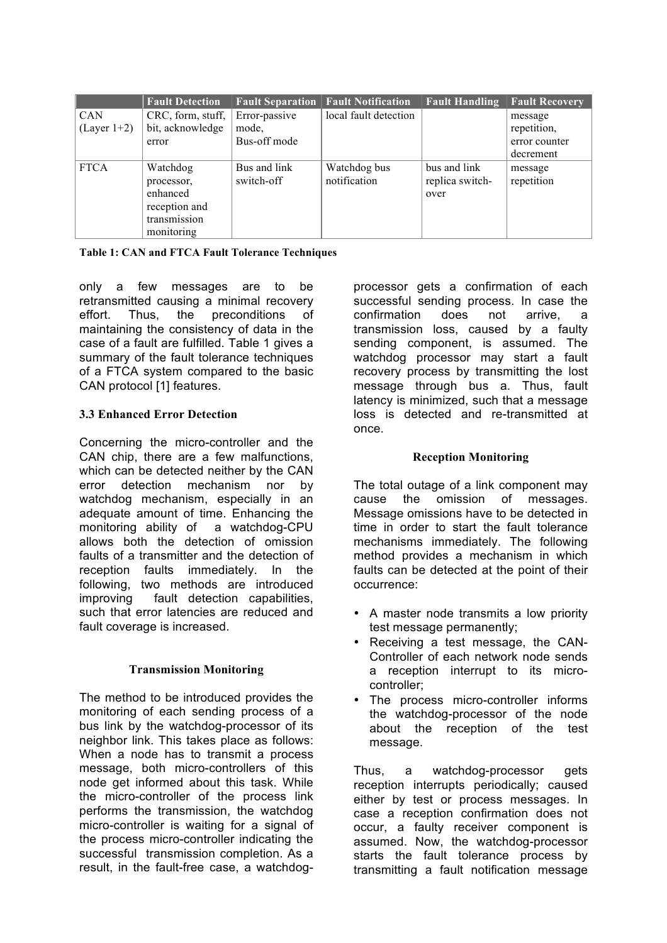|               | <b>Fault Detection</b> |               | <b>Fault Separation Fault Notification</b> | <b>Fault Handling</b> | <b>Fault Recovery</b> |
|---------------|------------------------|---------------|--------------------------------------------|-----------------------|-----------------------|
| <b>CAN</b>    | CRC, form, stuff,      | Error-passive | local fault detection                      |                       | message               |
| $(Layer 1+2)$ | bit, acknowledge       | mode.         |                                            |                       | repetition,           |
|               | error                  | Bus-off mode  |                                            |                       | error counter         |
|               |                        |               |                                            |                       | decrement             |
| <b>FTCA</b>   | Watchdog               | Bus and link  | Watchdog bus                               | bus and link          | message               |
|               | processor,             | switch-off    | notification                               | replica switch-       | repetition            |
|               | enhanced               |               |                                            | over                  |                       |
|               | reception and          |               |                                            |                       |                       |
|               | transmission           |               |                                            |                       |                       |
|               | monitoring             |               |                                            |                       |                       |

**Table 1: CAN and FTCA Fault Tolerance Techniques**

only a few messages are to be retransmitted causing a minimal recovery effort. Thus, the preconditions of maintaining the consistency of data in the case of a fault are fulfilled. Table 1 gives a summary of the fault tolerance techniques of a FTCA system compared to the basic CAN protocol [1] features.

# **3.3 Enhanced Error Detection**

Concerning the micro-controller and the CAN chip, there are a few malfunctions, which can be detected neither by the CAN error detection mechanism nor by watchdog mechanism, especially in an adequate amount of time. Enhancing the monitoring ability of a watchdog-CPU allows both the detection of omission faults of a transmitter and the detection of reception faults immediately. In the following, two methods are introduced improving fault detection capabilities, such that error latencies are reduced and fault coverage is increased.

## **Transmission Monitoring**

The method to be introduced provides the monitoring of each sending process of a bus link by the watchdog-processor of its neighbor link. This takes place as follows: When a node has to transmit a process message, both micro-controllers of this node get informed about this task. While the micro-controller of the process link performs the transmission, the watchdog micro-controller is waiting for a signal of the process micro-controller indicating the successful transmission completion. As a result, in the fault-free case, a watchdogprocessor gets a confirmation of each successful sending process. In case the confirmation does not arrive, a transmission loss, caused by a faulty sending component, is assumed. The watchdog processor may start a fault recovery process by transmitting the lost message through bus a. Thus, fault latency is minimized, such that a message loss is detected and re-transmitted at once.

## **Reception Monitoring**

The total outage of a link component may cause the omission of messages. Message omissions have to be detected in time in order to start the fault tolerance mechanisms immediately. The following method provides a mechanism in which faults can be detected at the point of their occurrence:

- A master node transmits a low priority test message permanently;
- Receiving a test message, the CAN-Controller of each network node sends a reception interrupt to its microcontroller;
- The process micro-controller informs the watchdog-processor of the node about the reception of the test message.

Thus, a watchdog-processor gets reception interrupts periodically; caused either by test or process messages. In case a reception confirmation does not occur, a faulty receiver component is assumed. Now, the watchdog-processor starts the fault tolerance process by transmitting a fault notification message